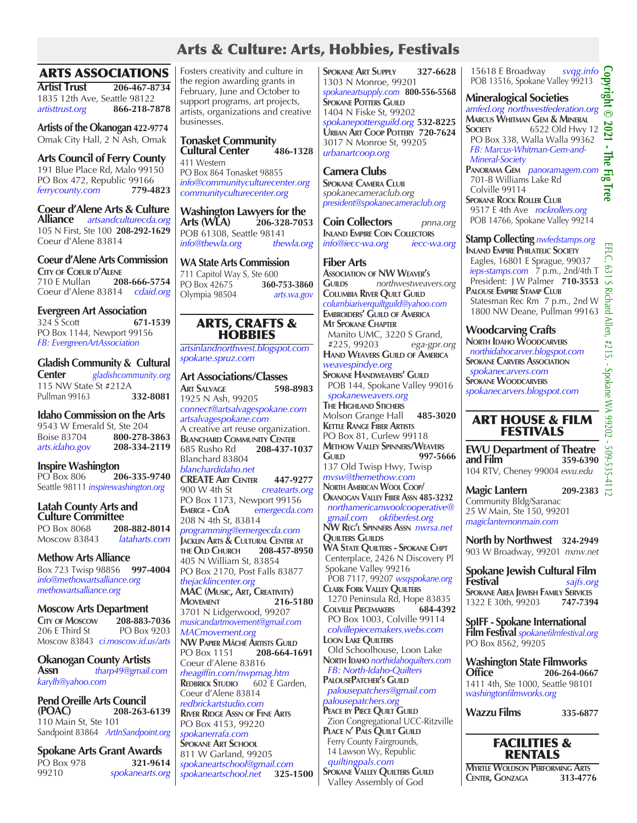# Arts & Culture: Arts, Hobbies, Festivals

## ARTS ASSOCIATIONS

**Artist Trust 206-467-8734** 1835 12th Ave, Seattle 98122 *artisttrust.org* **866-218-7878**

**Artists of the Okanogan 422-9774** Omak City Hall, 2 N Ash, Omak

**Arts Council of Ferry County** 191 Blue Place Rd, Malo 99150 PO Box 472, Republic 99166<br>
ferrycounty.com 779-4823 *ferrycounty.com* **779-4823**

**Coeur d'Alene Arts & Culture Alliance** *artsandculturecda.org* 105 N First, Ste 100 **208-292-1629** Coeur d'Alene 83814

**Coeur d'Alene Arts Commission**

**City of Coeur d'Alene** 710 E Mullan **208-666-5754** Coeur d'Alene 83814 *cdaid.org*

**Evergreen Art Association**<br>324 S Scott 671-1539 324 S Scott **671-1539** PO Box 1144, Newport 99156 *FB: EvergreenArtAssociation*

**Gladish Community & Cultural Center** *gladishcommunity.org*

115 NW State St #212A<br>Pullman 99163 **332-8081** Pullman 99163 **332-8081**

**Idaho Commission on the Arts** 9543 W Emerald St, Ste 204 Boise 83704 **800-278-3863** *arts.idaho.gov* **208-334-2119**

**Inspire Washington** PO Box 806 **206-335-9740**  Seattle 98111 *inspirewashington.org*

### **Latah County Arts and Culture Committee**

PO Box 8068 **208-882-8014**<br>Moscow 83843 *lataharts.com* Moscow 83843 *lataharts.com*

**Methow Arts Alliance** Box 723 Twisp 98856 **997-4004** *info@methowartsalliance.org methowartsalliance.org*

**Moscow Arts Department**<br>Crry of Moscow 208-883-7036 **City of Moscow 208-883-7036**<br>206 E Third St PO Box 9203  $206$  E Third St Moscow 83843 *ci.moscow.id.us/arts*

**Okanogan County Artists Assn** *tharp49@gmail.com karylh@yahoo.com*

**Pend Oreille Arts Council (POAC) 208-263-6139** 110 Main St, Ste 101 Sandpoint 83864 *ArtInSandpoint.org*

**Spokane Arts Grant Awards** PO Box 978 **321-9614** 99210 *spokanearts.org* Fosters creativity and culture in the region awarding grants in February, June and October to support programs, art projects, artists, organizations and creative businesses.

**Tonasket Community Cultural Center** 411 Western PO Box 864 Tonasket 98855 *info@communityculturecenter.org communityculturecenter.org*

**Washington Lawyers for the Arts (WLA) 206-328-7053** POB 61308, Seattle 98141 *info@thewla.org thewla.org*

**WA State Arts Commission** 711 Capitol Way S, Ste 600<br>PO Box 42675 **360-753-3860** PO Box 42675 Olympia 98504 *arts.wa.gov*

## ARTS, CRAFTS & **HOBBIES**

*artsinlandnorthwest.blogspot.com spokane.spruz.com* 

**Art Associations/Classes Art Salvage 598-8983** 1925 N Ash, 99205 *connect@artsalvagespokane.com artsalvagespokane.com* A creative art reuse organization. **BLANCHARD COMMUNITY CENTER**<br>685 Rusho Rd **208-437-1** 685 Rusho Rd **208-437-1037** Blanchard 83804 *blanchardidaho.net* **CREATE Art Center 447-9277** 900 W 4th St *createarts.org* PO Box 1173, Newport 99156<br>EMERGE - CDA emergecda.com  $emere cda.com$ 208 N 4th St, 83814 *programming@emergecda.com* **Jacklin Arts & Cultural Center at the Old Church 208-457-8950** 405 N William St, 83854 PO Box 2170, Post Falls 83877 *thejacklincenter.org* **MAC (Music, Art, Creativity) Movement 216-5180** 3701 N Lidgerwood, 99207 *musicandartmovement@gmail.com MACmovement.org* **NW Papier Mâché Artists Guild** PO Box 1151 **208-664-1691**  Coeur d'Alene 83816 *rheagiffin.com/nwpmag.htm* **REDBRICK STUDIO** Coeur d'Alene 83814 *redbrickartstudio.com* **River Ridge Assn of Fine Arts** PO Box 4153, 99220 *spokanerrafa.com* **SPOKANE ART SCHOOL** 811 W Garland, 99205 *spokaneartschool@gmail.com*   $s$ pokaneartschool.net

**Spokane Art Supply 327-6628** 1303 N Monroe, 99201 *spokaneartsupply.com* **800-556-5568 SPOKANE POTTERS GUILD** 1404 N Fiske St, 99202 *spokanepottersguild.org* **532-8225 Urban Art Coop Pottery 720-7624** 3017 N Monroe St, 99205 *urbanartcoop.org*

**Camera Clubs Spokane Camera Club** *spokanecameraclub.org president@spokanecameraclub.org*

**Coin Collectors** *pnna.org* **Inland Empire Coin Collectors** *info@iecc-wa.org iecc-wa.org*

**Fiber Arts Association of NW Weaver's Guilds** *northwestweavers.org* **Columbia River Quilt Guild** *columbiariverquiltguild@yahoo.com* **Embroiders' Guild of America Mt Spokane Chapter** Manito UMC, 3220 S Grand, #225, 99203 *ega-gpr.org* **Hand Weavers Guild of America** *weavespindye.org*

**Spokane Handweavers' Guild** POB 144, Spokane Valley 99016  *spokaneweavers.org*

**The Highland Stichers** Molson Grange Hall **485-3020 Kettle Range Fiber Artists** PO Box 81, Curlew 99118 **Methow Valley Spinners/Weavers Guild 997-5666** 137 Old Twisp Hwy, Twisp *mvsw@themethow.com* **North American Wool Coop/ Okanogan Valley Fiber Assn 485-3232**  *northamericanwoolcooperative@ gmail.com okfiberfest.org* **NW Reg'l Spinners Assn** *nwrsa.net* **QUILTERS GUILDS WA STATE QUILTERS - SPOKANE CHPT**  Centerplace, 2426 N Discovery Pl Spokane Valley 99216 POB 7117, 99207 *wsqspokane.org* **Clark Fork Valley Quilters** 1270 Peninsula Rd, Hope 83835 **Colville Piecemakers 684-4392** PO Box 1003, Colville 99114  *colvillepiecemakers.webs.com*  **Loon Lake Quilters** Old Schoolhouse, Loon Lake **North Idaho** *northidahoquilters.com FB: North-Idaho-Quilters* **PalousePatcher's Guild**  *palousepatchers@gmail.com palousepatchers.org* **Peace by Piece Quilt Guild** Zion Congregational UCC-Ritzville **Place n' Pals Quilt Guild** Ferry County Fairgrounds, 14 Lawson Wy, Republic *quiltingpals.com* **Spokane Valley Quilters Guild** Valley Assembly of God

 15618 E Broadway *svqg.info* POB 13516, Spokane Valley 99213

**Mineralogical Societies** 

**Copyright © 2021 - The Fig Tree** ight *amfed.org northwestfederation.org*  $\odot$ **Marcus Whitman Gem & Mineral** 2021 **Society** 6522 Old Hwy 12 PO Box 338, Walla Walla 99362  *FB: Marcus-Whitman-Gem-and- Mineral-Society* **Panorama Gem** *panoramagem.com* 묺 701-B Williams Lake Rd

 Colville 99114 **Spokane Rock Roller Club** 9517 E 4th Ave *rockrollers.org* POB 14766, Spokane Valley 99214

**Stamp Collecting** *nwfedstamps.org*

**Inland Empire Philatelic Society** Eagles, 16801 E Sprague, 99037  *ieps-stamps.com* 7 p.m., 2nd/4th T President: J W Palmer **710-3553 Palouse Empire Stamp Club** Statesman Rec Rm 7 p.m., 2nd W 1800 NW Deane, Pullman 99163

## **Woodcarving Crafts**

**North Idaho Woodcarvers**  *northidahocarver.blogspot.com* **SPOKANE CARVERS ASSOCIATION**  *spokanecarvers.com* **Spokane Woodcarvers** *spokanecarvers.blogspot.com*

## ART HOUSE & FILM FESTIVALS

**EWU Department of Theatre and Film 359-6390** 104 RTV, Cheney 99004 *ewu.edu*

**Magic Lantern 209-2383**  $\frac{1}{10}$ Community Bldg/Saranac 25 W Main, Ste 150, 99201 *magiclanternonmain.com*

**North by Northwest 324-2949** 903 W Broadway, 99201 *nxnw.net* 

**Spokane Jewish Cultural Film Festival** *sajfs.org* **Spokane Area Jewish Family Services** 1322 E 30th, 99203 **747-7394**

**SpIFF - Spokane International Film Festival** *spokanefilmfestival.org* PO Box 8562, 99205

**Washington State Filmworks Office 206-264-0667** 1411 4th, Ste 1000, Seattle 98101 *washingtonfilmworks.org*

**Wazzu Films 335-6877**



**Myrtle Woldson Performing Arts Center, Gonzaga 313-4776**

à. The